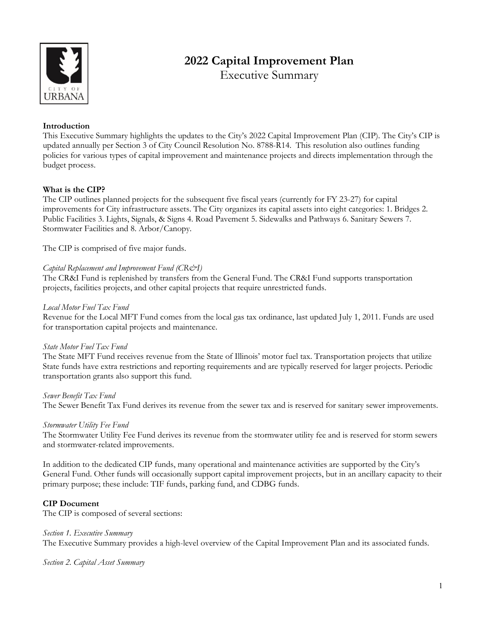

# **2022 Capital Improvement Plan**

Executive Summary

# **Introduction**

This Executive Summary highlights the updates to the City's 2022 Capital Improvement Plan (CIP). The City's CIP is updated annually per Section 3 of City Council Resolution No. 8788-R14. This resolution also outlines funding policies for various types of capital improvement and maintenance projects and directs implementation through the budget process.

# **What is the CIP?**

The CIP outlines planned projects for the subsequent five fiscal years (currently for FY 23-27) for capital improvements for City infrastructure assets. The City organizes its capital assets into eight categories: 1. Bridges 2. Public Facilities 3. Lights, Signals, & Signs 4. Road Pavement 5. Sidewalks and Pathways 6. Sanitary Sewers 7. Stormwater Facilities and 8. Arbor/Canopy.

The CIP is comprised of five major funds.

# *Capital Replacement and Improvement Fund (CR&I)*

The CR&I Fund is replenished by transfers from the General Fund. The CR&I Fund supports transportation projects, facilities projects, and other capital projects that require unrestricted funds.

# *Local Motor Fuel Tax Fund*

Revenue for the Local MFT Fund comes from the local gas tax ordinance, last updated July 1, 2011. Funds are used for transportation capital projects and maintenance.

# *State Motor Fuel Tax Fund*

The State MFT Fund receives revenue from the State of Illinois' motor fuel tax. Transportation projects that utilize State funds have extra restrictions and reporting requirements and are typically reserved for larger projects. Periodic transportation grants also support this fund.

# *Sewer Benefit Tax Fund*

The Sewer Benefit Tax Fund derives its revenue from the sewer tax and is reserved for sanitary sewer improvements.

# *Stormwater Utility Fee Fund*

The Stormwater Utility Fee Fund derives its revenue from the stormwater utility fee and is reserved for storm sewers and stormwater-related improvements.

In addition to the dedicated CIP funds, many operational and maintenance activities are supported by the City's General Fund. Other funds will occasionally support capital improvement projects, but in an ancillary capacity to their primary purpose; these include: TIF funds, parking fund, and CDBG funds.

# **CIP Document**

The CIP is composed of several sections:

#### *Section 1. Executive Summary*

The Executive Summary provides a high-level overview of the Capital Improvement Plan and its associated funds.

*Section 2. Capital Asset Summary*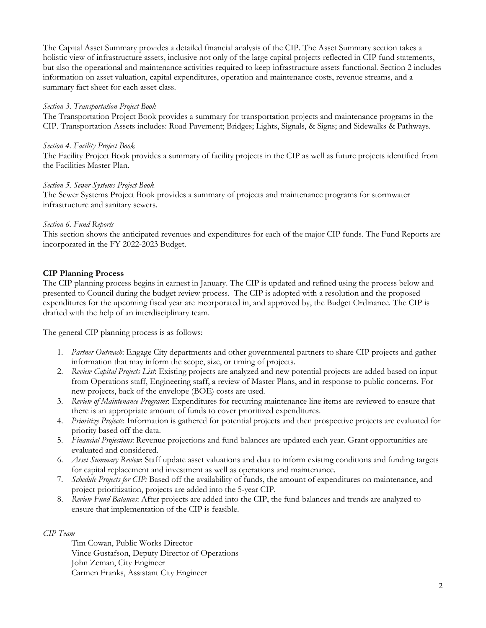The Capital Asset Summary provides a detailed financial analysis of the CIP. The Asset Summary section takes a holistic view of infrastructure assets, inclusive not only of the large capital projects reflected in CIP fund statements, but also the operational and maintenance activities required to keep infrastructure assets functional. Section 2 includes information on asset valuation, capital expenditures, operation and maintenance costs, revenue streams, and a summary fact sheet for each asset class.

## *Section 3. Transportation Project Book*

The Transportation Project Book provides a summary for transportation projects and maintenance programs in the CIP. Transportation Assets includes: Road Pavement; Bridges; Lights, Signals, & Signs; and Sidewalks & Pathways.

## *Section 4. Facility Project Book*

The Facility Project Book provides a summary of facility projects in the CIP as well as future projects identified from the Facilities Master Plan.

## *Section 5. Sewer Systems Project Book*

The Sewer Systems Project Book provides a summary of projects and maintenance programs for stormwater infrastructure and sanitary sewers.

## *Section 6. Fund Reports*

This section shows the anticipated revenues and expenditures for each of the major CIP funds. The Fund Reports are incorporated in the FY 2022-2023 Budget.

# **CIP Planning Process**

The CIP planning process begins in earnest in January. The CIP is updated and refined using the process below and presented to Council during the budget review process. The CIP is adopted with a resolution and the proposed expenditures for the upcoming fiscal year are incorporated in, and approved by, the Budget Ordinance. The CIP is drafted with the help of an interdisciplinary team.

The general CIP planning process is as follows:

- 1. *Partner Outreach*: Engage City departments and other governmental partners to share CIP projects and gather information that may inform the scope, size, or timing of projects.
- 2. *Review Capital Projects List*: Existing projects are analyzed and new potential projects are added based on input from Operations staff, Engineering staff, a review of Master Plans, and in response to public concerns. For new projects, back of the envelope (BOE) costs are used.
- 3. *Review of Maintenance Programs*: Expenditures for recurring maintenance line items are reviewed to ensure that there is an appropriate amount of funds to cover prioritized expenditures.
- 4. *Prioritize Projects*: Information is gathered for potential projects and then prospective projects are evaluated for priority based off the data.
- 5. *Financial Projections*: Revenue projections and fund balances are updated each year. Grant opportunities are evaluated and considered.
- 6. *Asset Summary Review*: Staff update asset valuations and data to inform existing conditions and funding targets for capital replacement and investment as well as operations and maintenance.
- 7. *Schedule Projects for CIP:* Based off the availability of funds, the amount of expenditures on maintenance, and project prioritization, projects are added into the 5-year CIP.
- 8. *Review Fund Balances*: After projects are added into the CIP, the fund balances and trends are analyzed to ensure that implementation of the CIP is feasible.

#### *CIP Team*

Tim Cowan, Public Works Director Vince Gustafson, Deputy Director of Operations John Zeman, City Engineer Carmen Franks, Assistant City Engineer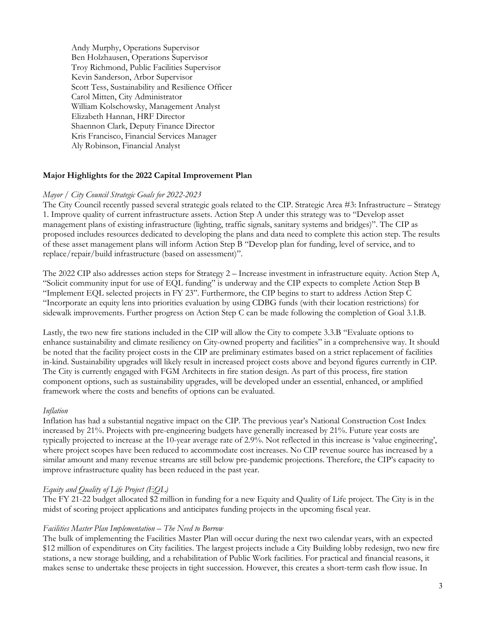Andy Murphy, Operations Supervisor Ben Holzhausen, Operations Supervisor Troy Richmond, Public Facilities Supervisor Kevin Sanderson, Arbor Supervisor Scott Tess, Sustainability and Resilience Officer Carol Mitten, City Administrator William Kolschowsky, Management Analyst Elizabeth Hannan, HRF Director Shaennon Clark, Deputy Finance Director Kris Francisco, Financial Services Manager Aly Robinson, Financial Analyst

# **Major Highlights for the 2022 Capital Improvement Plan**

#### *Mayor / City Council Strategic Goals for 2022-2023*

The City Council recently passed several strategic goals related to the CIP. Strategic Area #3: Infrastructure – Strategy 1. Improve quality of current infrastructure assets. Action Step A under this strategy was to "Develop asset management plans of existing infrastructure (lighting, traffic signals, sanitary systems and bridges)". The CIP as proposed includes resources dedicated to developing the plans and data need to complete this action step. The results of these asset management plans will inform Action Step B "Develop plan for funding, level of service, and to replace/repair/build infrastructure (based on assessment)".

The 2022 CIP also addresses action steps for Strategy 2 – Increase investment in infrastructure equity. Action Step A, "Solicit community input for use of EQL funding" is underway and the CIP expects to complete Action Step B "Implement EQL selected projects in FY 23". Furthermore, the CIP begins to start to address Action Step C "Incorporate an equity lens into priorities evaluation by using CDBG funds (with their location restrictions) for sidewalk improvements. Further progress on Action Step C can be made following the completion of Goal 3.1.B.

Lastly, the two new fire stations included in the CIP will allow the City to compete 3.3.B "Evaluate options to enhance sustainability and climate resiliency on City-owned property and facilities" in a comprehensive way. It should be noted that the facility project costs in the CIP are preliminary estimates based on a strict replacement of facilities in-kind. Sustainability upgrades will likely result in increased project costs above and beyond figures currently in CIP. The City is currently engaged with FGM Architects in fire station design. As part of this process, fire station component options, such as sustainability upgrades, will be developed under an essential, enhanced, or amplified framework where the costs and benefits of options can be evaluated.

#### *Inflation*

Inflation has had a substantial negative impact on the CIP. The previous year's National Construction Cost Index increased by 21%. Projects with pre-engineering budgets have generally increased by 21%. Future year costs are typically projected to increase at the 10-year average rate of 2.9%. Not reflected in this increase is 'value engineering', where project scopes have been reduced to accommodate cost increases. No CIP revenue source has increased by a similar amount and many revenue streams are still below pre-pandemic projections. Therefore, the CIP's capacity to improve infrastructure quality has been reduced in the past year.

#### *Equity and Quality of Life Project (EQL)*

The FY 21-22 budget allocated \$2 million in funding for a new Equity and Quality of Life project. The City is in the midst of scoring project applications and anticipates funding projects in the upcoming fiscal year.

## *Facilities Master Plan Implementation – The Need to Borrow*

The bulk of implementing the Facilities Master Plan will occur during the next two calendar years, with an expected \$12 million of expenditures on City facilities. The largest projects include a City Building lobby redesign, two new fire stations, a new storage building, and a rehabilitation of Public Work facilities. For practical and financial reasons, it makes sense to undertake these projects in tight succession. However, this creates a short-term cash flow issue. In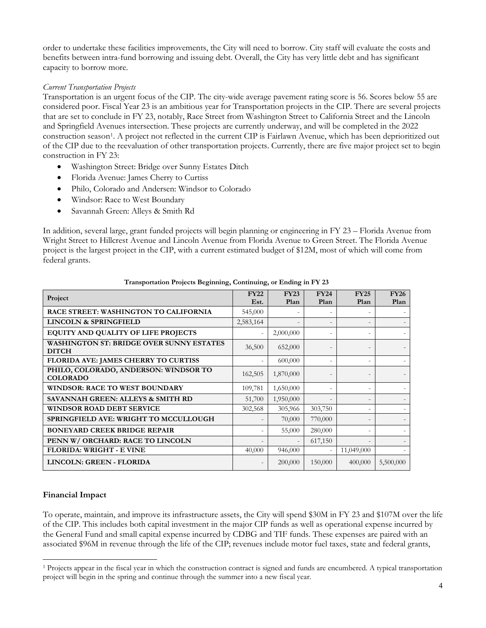order to undertake these facilities improvements, the City will need to borrow. City staff will evaluate the costs and benefits between intra-fund borrowing and issuing debt. Overall, the City has very little debt and has significant capacity to borrow more.

# *Current Transportation Projects*

Transportation is an urgent focus of the CIP. The city-wide average pavement rating score is 56. Scores below 55 are considered poor. Fiscal Year 23 is an ambitious year for Transportation projects in the CIP. There are several projects that are set to conclude in FY 23, notably, Race Street from Washington Street to California Street and the Lincoln and Springfield Avenues intersection. These projects are currently underway, and will be completed in the 2022 construction season[1](#page-3-0). A project not reflected in the current CIP is Fairlawn Avenue, which has been deprioritized out of the CIP due to the reevaluation of other transportation projects. Currently, there are five major project set to begin construction in FY 23:

- Washington Street: Bridge over Sunny Estates Ditch
- Florida Avenue: James Cherry to Curtiss
- Philo, Colorado and Andersen: Windsor to Colorado
- Windsor: Race to West Boundary
- Savannah Green: Alleys & Smith Rd

In addition, several large, grant funded projects will begin planning or engineering in FY 23 – Florida Avenue from Wright Street to Hillcrest Avenue and Lincoln Avenue from Florida Avenue to Green Street. The Florida Avenue project is the largest project in the CIP, with a current estimated budget of \$12M, most of which will come from federal grants.

| Project                                                         | <b>FY22</b><br>Est.      | <b>FY23</b><br>Plan | <b>FY24</b><br>Plan | <b>FY25</b><br>Plan | <b>FY26</b><br>Plan |
|-----------------------------------------------------------------|--------------------------|---------------------|---------------------|---------------------|---------------------|
| <b>RACE STREET: WASHINGTON TO CALIFORNIA</b>                    | 545,000                  |                     |                     |                     |                     |
| <b>LINCOLN &amp; SPRINGFIELD</b>                                | 2,583,164                |                     |                     | $\overline{a}$      |                     |
| EQUITY AND QUALITY OF LIFE PROJECTS                             |                          | 2,000,000           |                     | $\overline{a}$      |                     |
| <b>WASHINGTON ST: BRIDGE OVER SUNNY ESTATES</b><br><b>DITCH</b> | 36,500                   | 652,000             |                     |                     |                     |
| FLORIDA AVE: JAMES CHERRY TO CURTISS                            |                          | 600,000             |                     | $\overline{a}$      |                     |
| PHILO, COLORADO, ANDERSON: WINDSOR TO<br><b>COLORADO</b>        | 162,505                  | 1,870,000           |                     |                     |                     |
| <b>WINDSOR: RACE TO WEST BOUNDARY</b>                           | 109,781                  | 1,650,000           |                     | $\overline{a}$      |                     |
| SAVANNAH GREEN: ALLEYS & SMITH RD                               | 51,700                   | 1,950,000           |                     | $\overline{a}$      |                     |
| <b>WINDSOR ROAD DEBT SERVICE</b>                                | 302,568                  | 305,966             | 303,750             | $\overline{a}$      |                     |
| <b>SPRINGFIELD AVE: WRIGHT TO MCCULLOUGH</b>                    |                          | 70,000              | 770,000             | $\overline{a}$      |                     |
| <b>BONEYARD CREEK BRIDGE REPAIR</b>                             |                          | 55,000              | 280,000             | $\overline{a}$      |                     |
| PENN W/ ORCHARD: RACE TO LINCOLN                                |                          |                     | 617,150             |                     |                     |
| <b>FLORIDA: WRIGHT - E VINE</b>                                 | 40,000                   | 946,000             |                     | 11,049,000          |                     |
| LINCOLN: GREEN - FLORIDA                                        | $\overline{\phantom{a}}$ | 200,000             | 150,000             | 400,000             | 5,500,000           |

#### **Transportation Projects Beginning, Continuing, or Ending in FY 23**

# **Financial Impact**

 $\overline{a}$ 

To operate, maintain, and improve its infrastructure assets, the City will spend \$30M in FY 23 and \$107M over the life of the CIP. This includes both capital investment in the major CIP funds as well as operational expense incurred by the General Fund and small capital expense incurred by CDBG and TIF funds. These expenses are paired with an associated \$96M in revenue through the life of the CIP; revenues include motor fuel taxes, state and federal grants,

<span id="page-3-0"></span><sup>1</sup> Projects appear in the fiscal year in which the construction contract is signed and funds are encumbered. A typical transportation project will begin in the spring and continue through the summer into a new fiscal year.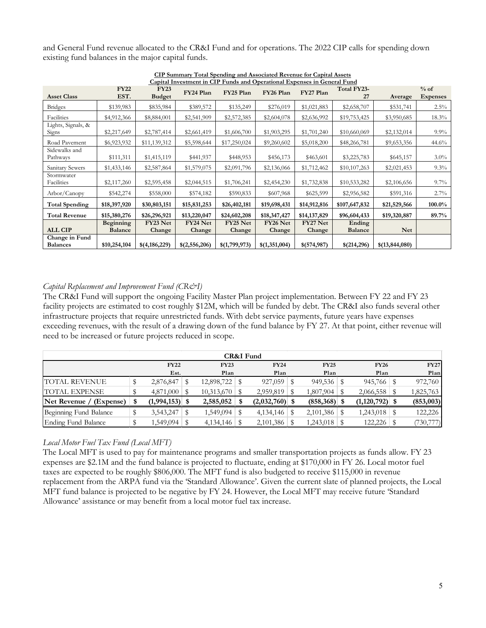and General Fund revenue allocated to the CR&I Fund and for operations. The 2022 CIP calls for spending down existing fund balances in the major capital funds.

| Capital Investment in CIP Funds and Operational Expenses in General Fund |                                    |                              |                    |                    |                    |                    |                          |                |                           |  |  |
|--------------------------------------------------------------------------|------------------------------------|------------------------------|--------------------|--------------------|--------------------|--------------------|--------------------------|----------------|---------------------------|--|--|
| <b>Asset Class</b>                                                       | <b>FY22</b><br>EST.                | <b>FY23</b><br><b>Budget</b> | FY24 Plan          | FY25 Plan          | FY26 Plan          | FY27 Plan          | Total FY23-<br>27        | Average        | $%$ of<br><b>Expenses</b> |  |  |
| <b>Bridges</b>                                                           | \$139,983                          | \$835,984                    | \$389,572          | \$135,249          | \$276,019          | \$1,021,883        | \$2,658,707              | \$531,741      | 2.5%                      |  |  |
| Facilities                                                               | \$4,912,366                        | \$8,884,001                  | \$2,541,909        | \$2,572,385        | \$2,604,078        | \$2,636,992        | \$19,753,425             | \$3,950,685    | 18.3%                     |  |  |
| Lights, Signals, &<br>Signs                                              | \$2,217,649                        | \$2,787,414                  | \$2,661,419        | \$1,606,700        | \$1,903,295        | \$1,701,240        | \$10,660,069             | \$2,132,014    | $9.9\%$                   |  |  |
| Road Pavement                                                            | \$6,923,932                        | \$11,139,312                 | \$5,598,644        | \$17,250,024       | \$9,260,602        | \$5,018,200        | \$48,266,781             | \$9,653,356    | 44.6%                     |  |  |
| Sidewalks and<br>Pathways                                                | \$111,311                          | \$1,415,119                  | \$441,937          | \$448,953          | \$456,173          | \$463,601          | \$3,225,783              | \$645,157      | $3.0\%$                   |  |  |
| Sanitary Sewers                                                          | \$1,433,146                        | \$2,587,864                  | \$1,579,075        | \$2,091,796        | \$2,136,066        | \$1,712,462        | \$10,107,263             | \$2,021,453    | 9.3%                      |  |  |
| Stormwater<br>Facilities                                                 | \$2,117,260                        | \$2,595,458                  | \$2,044,515        | \$1,706,241        | \$2,454,230        | \$1,732,838        | \$10,533,282             | \$2,106,656    | $9.7\%$                   |  |  |
| Arbor/Canopy                                                             | \$542,274                          | \$558,000                    | \$574,182          | \$590,833          | \$607,968          | \$625,599          | \$2,956,582              | \$591,316      | 2.7%                      |  |  |
| <b>Total Spending</b>                                                    | \$18,397,920                       | \$30,803,151                 | \$15,831,253       | \$26,402,181       | \$19,698,431       | \$14,912,816       | \$107,647,832            | \$21,529,566   | 100.0%                    |  |  |
| <b>Total Revenue</b>                                                     | \$15,380,276                       | \$26,296,921                 | \$13,220,047       | \$24,602,208       | \$18,347,427       | \$14,137,829       | \$96,604,433             | \$19,320,887   | 89.7%                     |  |  |
| <b>ALL CIP</b>                                                           | <b>Beginning</b><br><b>Balance</b> | FY23 Net<br>Change           | FY24 Net<br>Change | FY25 Net<br>Change | FY26 Net<br>Change | FY27 Net<br>Change | Ending<br><b>Balance</b> | <b>Net</b>     |                           |  |  |
| Change in Fund<br><b>Balances</b>                                        | \$10,254,104                       | \$(4,186,229)                | \$(2,556,206)      | \$(1,799,973)      | \$(1,351,004)      | \$(574,987)        | \$(214,296)              | \$(13,844,080) |                           |  |  |

**CIP Summary Total Spending and Associated Revenue for Capital Assets**

# *Capital Replacement and Improvement Fund (CR&I)*

The CR&I Fund will support the ongoing Facility Master Plan project implementation. Between FY 22 and FY 23 facility projects are estimated to cost roughly \$12M, which will be funded by debt. The CR&I also funds several other infrastructure projects that require unrestricted funds. With debt service payments, future years have expenses exceeding revenues, with the result of a drawing down of the fund balance by FY 27. At that point, either revenue will need to be increased or future projects reduced in scope.

| CR&I Fund                  |   |              |  |            |  |                  |  |             |  |                  |             |
|----------------------------|---|--------------|--|------------|--|------------------|--|-------------|--|------------------|-------------|
|                            |   | <b>FY22</b>  |  | FY23       |  | <b>FY24</b>      |  | <b>FY25</b> |  | <b>FY26</b>      | <b>FY27</b> |
|                            |   | Est.         |  | Plan       |  | Plan             |  | Plan        |  | Plan             | Plan        |
| ITOTAL REVENUE             |   | 2,876,847    |  | 12,898,722 |  |                  |  | 949,536     |  |                  | 972,760     |
| <b>TOTAL EXPENSE</b>       |   | 4,871,000 \$ |  |            |  | $2,959,819$ \$   |  | 1,807,904   |  | $2,066,558$ \$   | 1,825,763   |
| Net Revenue /<br>(Expense) | Я | (1,994,153)  |  | 2,585,052  |  | $(2,032,760)$ \$ |  | (858,368)   |  | $(1,120,792)$ \$ | (853,003)   |
| Beginning Fund Balance     |   | 3,543,247    |  | 1,549,094  |  |                  |  | 2,101,386   |  |                  | 122,226     |
| Ending Fund Balance        |   | 1,549,094    |  |            |  | $2,101,386$ \$   |  | 1,243,018   |  |                  | (730, 777)  |

# *Local Motor Fuel Tax Fund (Local MFT)*

The Local MFT is used to pay for maintenance programs and smaller transportation projects as funds allow. FY 23 expenses are \$2.1M and the fund balance is projected to fluctuate, ending at \$170,000 in FY 26. Local motor fuel taxes are expected to be roughly \$806,000. The MFT fund is also budgeted to receive \$115,000 in revenue replacement from the ARPA fund via the 'Standard Allowance'. Given the current slate of planned projects, the Local MFT fund balance is projected to be negative by FY 24. However, the Local MFT may receive future 'Standard Allowance' assistance or may benefit from a local motor fuel tax increase.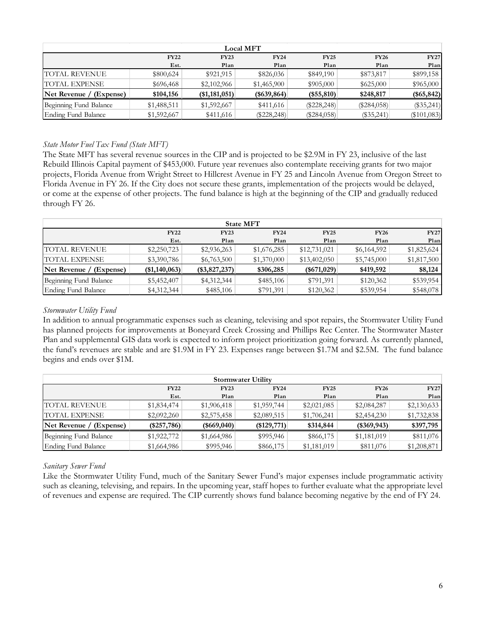| <b>Local MFT</b>        |             |                      |               |                   |               |               |  |  |  |  |
|-------------------------|-------------|----------------------|---------------|-------------------|---------------|---------------|--|--|--|--|
|                         | <b>FY22</b> | <b>FY23</b>          | <b>FY24</b>   | FY25              | <b>FY26</b>   | <b>FY27</b>   |  |  |  |  |
|                         | Est.        | Plan                 | Plan          | Plan              | Plan          | Plan          |  |  |  |  |
| TOTAL REVENUE           | \$800,624   | \$921,915            | \$826,036     | \$849,190         | \$873,817     | \$899,158     |  |  |  |  |
| <b>TOTAL EXPENSE</b>    | \$696,468   | \$2,102,966          | \$1,465,900   | \$905,000         | \$625,000     | \$965,000     |  |  |  |  |
| Net Revenue / (Expense) | \$104,156   | $($ \$1,181,051) $ $ | $(\$639,864)$ | $($ \$55,810) $ $ | \$248,817     | $(*65, 842)$  |  |  |  |  |
| Beginning Fund Balance  | \$1,488,511 | \$1,592,667          | \$411,616     | $(\$228,248)$     | $(\$284,058)$ | $(\$35,241)$  |  |  |  |  |
| Ending Fund Balance     | \$1,592,667 | \$411,616            | $(\$228,248)$ | $(\$284,058)$     | $(\$35,241)$  | $(\$101,083)$ |  |  |  |  |

# *State Motor Fuel Tax Fund (State MFT)*

The State MFT has several revenue sources in the CIP and is projected to be \$2.9M in FY 23, inclusive of the last Rebuild Illinois Capital payment of \$453,000. Future year revenues also contemplate receiving grants for two major projects, Florida Avenue from Wright Street to Hillcrest Avenue in FY 25 and Lincoln Avenue from Oregon Street to Florida Avenue in FY 26. If the City does not secure these grants, implementation of the projects would be delayed, or come at the expense of other projects. The fund balance is high at the beginning of the CIP and gradually reduced through FY 26.

| <b>State MFT</b>        |                                                                         |               |             |               |             |             |  |  |  |
|-------------------------|-------------------------------------------------------------------------|---------------|-------------|---------------|-------------|-------------|--|--|--|
|                         | <b>FY22</b><br><b>FY25</b><br><b>FY24</b><br><b>FY26</b><br><b>FY23</b> |               |             |               |             |             |  |  |  |
|                         | Est.                                                                    | Plan          | Plan        | Plan          | Plan        | Plan        |  |  |  |
| TOTAL REVENUE           | \$2,250,723                                                             | \$2,936,263   | \$1,676,285 | \$12,731,021  | \$6,164,592 | \$1,825,624 |  |  |  |
| 'TOTAL EXPENSE          | \$3,390,786                                                             | \$6,763,500   | \$1,370,000 | \$13,402,050  | \$5,745,000 | \$1,817,500 |  |  |  |
| Net Revenue / (Expense) | (\$1,140,063)                                                           | (\$3,827,237) | \$306,285   | $(\$671,029)$ | \$419,592   | \$8,124     |  |  |  |
| Beginning Fund Balance  | \$5,452,407                                                             | \$4,312,344   | \$485,106   | \$791,391     | \$120,362   | \$539,954   |  |  |  |
| Ending Fund Balance     | \$4,312,344                                                             | \$485,106     | \$791,391   | \$120,362     | \$539,954   | \$548,078   |  |  |  |

# *Stormwater Utility Fund*

In addition to annual programmatic expenses such as cleaning, televising and spot repairs, the Stormwater Utility Fund has planned projects for improvements at Boneyard Creek Crossing and Phillips Rec Center. The Stormwater Master Plan and supplemental GIS data work is expected to inform project prioritization going forward. As currently planned, the fund's revenues are stable and are \$1.9M in FY 23. Expenses range between \$1.7M and \$2.5M. The fund balance begins and ends over \$1M.

| <b>Stormwater Utility</b>   |             |                    |               |             |             |             |  |  |  |  |
|-----------------------------|-------------|--------------------|---------------|-------------|-------------|-------------|--|--|--|--|
|                             | <b>FY22</b> | <b>FY23</b>        | <b>FY24</b>   | <b>FY25</b> | <b>FY26</b> | <b>FY27</b> |  |  |  |  |
|                             | Est.        | Plan               | Plan          | Plan        | Plan        | Plan        |  |  |  |  |
| ITOTAL REVENUE              | \$1,834,474 | \$1,906,418        | \$1,959,744   | \$2,021,085 | \$2,084,287 | \$2,130,633 |  |  |  |  |
| <b>TOTAL EXPENSE</b>        | \$2,092,260 | \$2,575,458        | \$2,089,515   | \$1,706,241 | \$2,454,230 | \$1,732,838 |  |  |  |  |
| $Net$ Revenue / $(Express)$ | (\$257,786) | $($ \$669,040) $ $ | $(\$129,771)$ | \$314,844   | (\$369,943) | \$397,795   |  |  |  |  |
| Beginning Fund Balance      | \$1,922,772 | \$1,664,986        | \$995,946     | \$866,175   | \$1,181,019 | \$811,076   |  |  |  |  |
| Ending Fund Balance         | \$1,664,986 | \$995,946          | \$866,175     | \$1,181,019 | \$811,076   | \$1,208,871 |  |  |  |  |

# *Sanitary Sewer Fund*

Like the Stormwater Utility Fund, much of the Sanitary Sewer Fund's major expenses include programmatic activity such as cleaning, televising, and repairs. In the upcoming year, staff hopes to further evaluate what the appropriate level of revenues and expense are required. The CIP currently shows fund balance becoming negative by the end of FY 24.